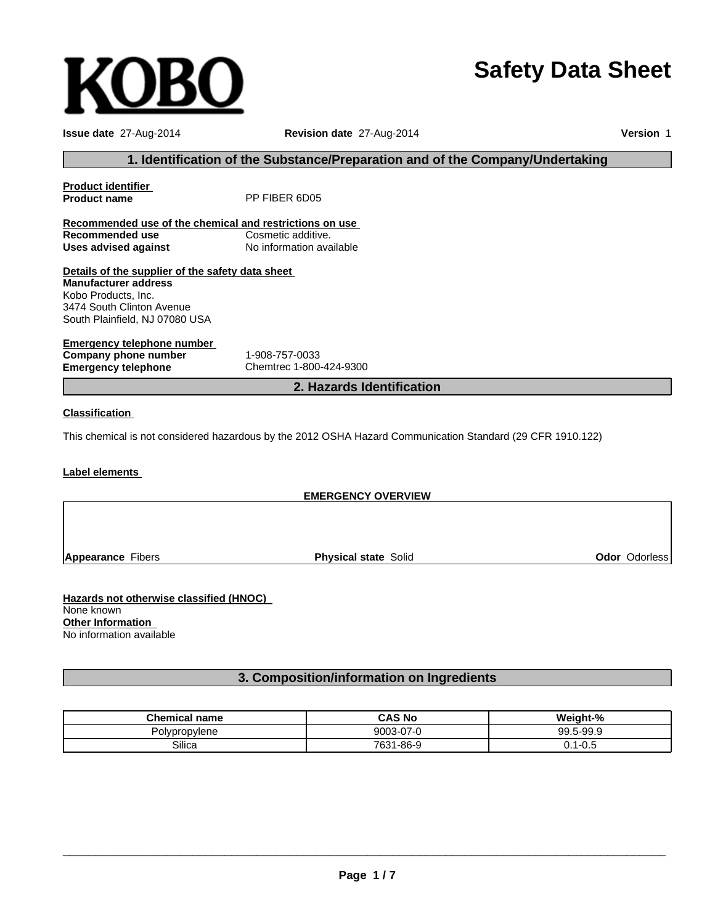# **Safety Data Sheet**

| <b>Issue date 27-Aug-2014</b>                           | Revision date 27-Aug-2014                                                                                  | Version 1 |
|---------------------------------------------------------|------------------------------------------------------------------------------------------------------------|-----------|
|                                                         | 1. Identification of the Substance/Preparation and of the Company/Undertaking                              |           |
| <u>Product identifier</u>                               |                                                                                                            |           |
| <b>Product name</b>                                     | PP FIBER 6D05                                                                                              |           |
| Recommended use of the chemical and restrictions on use |                                                                                                            |           |
| Recommended use                                         | Cosmetic additive.                                                                                         |           |
| <b>Uses advised against</b>                             | No information available                                                                                   |           |
| Details of the supplier of the safety data sheet        |                                                                                                            |           |
| <b>Manufacturer address</b>                             |                                                                                                            |           |
| Kobo Products, Inc.                                     |                                                                                                            |           |
| 3474 South Clinton Avenue                               |                                                                                                            |           |
| South Plainfield, NJ 07080 USA                          |                                                                                                            |           |
| <u>Emergency telephone number</u>                       |                                                                                                            |           |
| Company phone number                                    | 1-908-757-0033                                                                                             |           |
| <b>Emergency telephone</b>                              | Chemtrec 1-800-424-9300                                                                                    |           |
|                                                         | 2. Hazards Identification                                                                                  |           |
| <b>Classification</b>                                   |                                                                                                            |           |
|                                                         | This chemical is not considered hazardous by the 2012 OSHA Hazard Communication Standard (29 CFR 1910.122) |           |
| l ahel elements                                         |                                                                                                            |           |

#### **Label elements**

| <b>EMERGENCY OVERVIEW</b>   |                      |
|-----------------------------|----------------------|
|                             |                      |
|                             |                      |
|                             |                      |
| <b>Physical state Solid</b> | <b>Odor Odorless</b> |
|                             |                      |

**Hazards not otherwise classified (HNOC)** None known **Other Information** No information available

**KOBO** 

# **3. Composition/information on Ingredients**

| <b>Chemical name</b> | <b>CAS No</b>  | Weight-%                |
|----------------------|----------------|-------------------------|
| olvpropylene         | 9003-07-0      | 99.5-99.9               |
| Silica               | 7631<br>1-86-9 | $\Omega$<br>. ∪.∪<br>J. |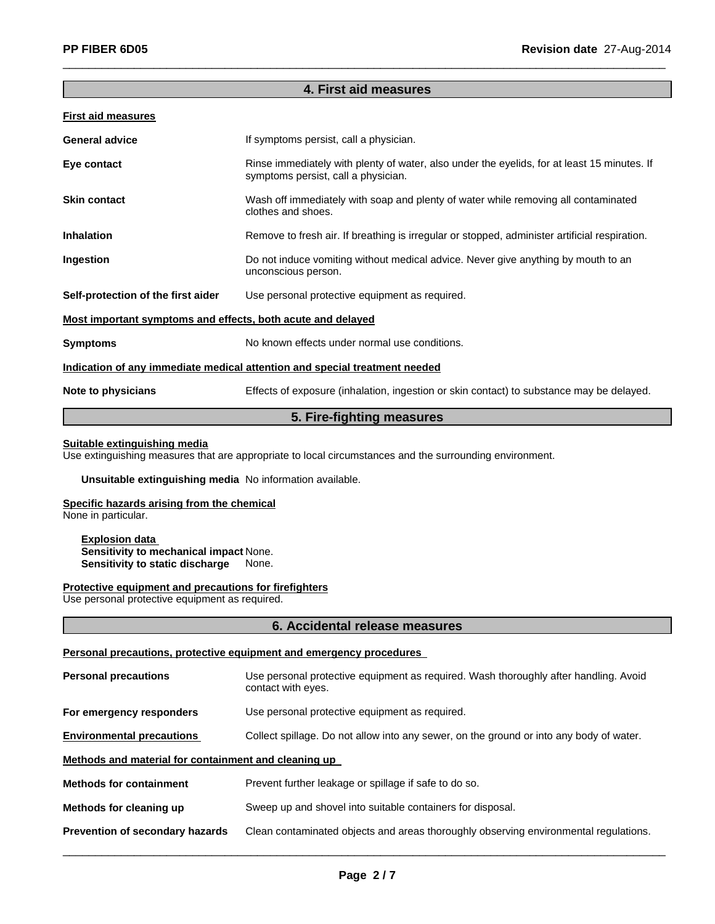## **4. First aid measures**

 $\_$  , and the set of the set of the set of the set of the set of the set of the set of the set of the set of the set of the set of the set of the set of the set of the set of the set of the set of the set of the set of th

## **First aid measures**

| <b>General advice</b>                                       | If symptoms persist, call a physician.                                                                                             |
|-------------------------------------------------------------|------------------------------------------------------------------------------------------------------------------------------------|
| Eye contact                                                 | Rinse immediately with plenty of water, also under the eyelids, for at least 15 minutes. If<br>symptoms persist, call a physician. |
| <b>Skin contact</b>                                         | Wash off immediately with soap and plenty of water while removing all contaminated<br>clothes and shoes.                           |
| <b>Inhalation</b>                                           | Remove to fresh air. If breathing is irregular or stopped, administer artificial respiration.                                      |
| Ingestion                                                   | Do not induce vomiting without medical advice. Never give anything by mouth to an<br>unconscious person.                           |
| Self-protection of the first aider                          | Use personal protective equipment as required.                                                                                     |
| Most important symptoms and effects, both acute and delayed |                                                                                                                                    |
| <b>Symptoms</b>                                             | No known effects under normal use conditions.                                                                                      |
|                                                             | Indication of any immediate medical attention and special treatment needed                                                         |
| Note to physicians                                          | Effects of exposure (inhalation, ingestion or skin contact) to substance may be delayed.                                           |
|                                                             |                                                                                                                                    |

# **5. Fire-fighting measures**

# **Suitable extinguishing media**

Use extinguishing measures that are appropriate to local circumstances and the surrounding environment.

#### **Unsuitable extinguishing media** No information available.

## **Specific hazards arising from the chemical**

None in particular.

**Explosion data Sensitivity to mechanical impact** None. **Sensitivity to static discharge** None.

#### **Protective equipment and precautions for firefighters**

Use personal protective equipment as required.

#### **6. Accidental release measures**

#### **Personal precautions, protective equipment and emergency procedures**

| <b>Personal precautions</b>                          | Use personal protective equipment as required. Wash thoroughly after handling. Avoid<br>contact with eyes. |  |
|------------------------------------------------------|------------------------------------------------------------------------------------------------------------|--|
| For emergency responders                             | Use personal protective equipment as required.                                                             |  |
| <b>Environmental precautions</b>                     | Collect spillage. Do not allow into any sewer, on the ground or into any body of water.                    |  |
| Methods and material for containment and cleaning up |                                                                                                            |  |
| <b>Methods for containment</b>                       | Prevent further leakage or spillage if safe to do so.                                                      |  |
| Methods for cleaning up                              | Sweep up and shovel into suitable containers for disposal.                                                 |  |
| Prevention of secondary hazards                      | Clean contaminated objects and areas thoroughly observing environmental regulations.                       |  |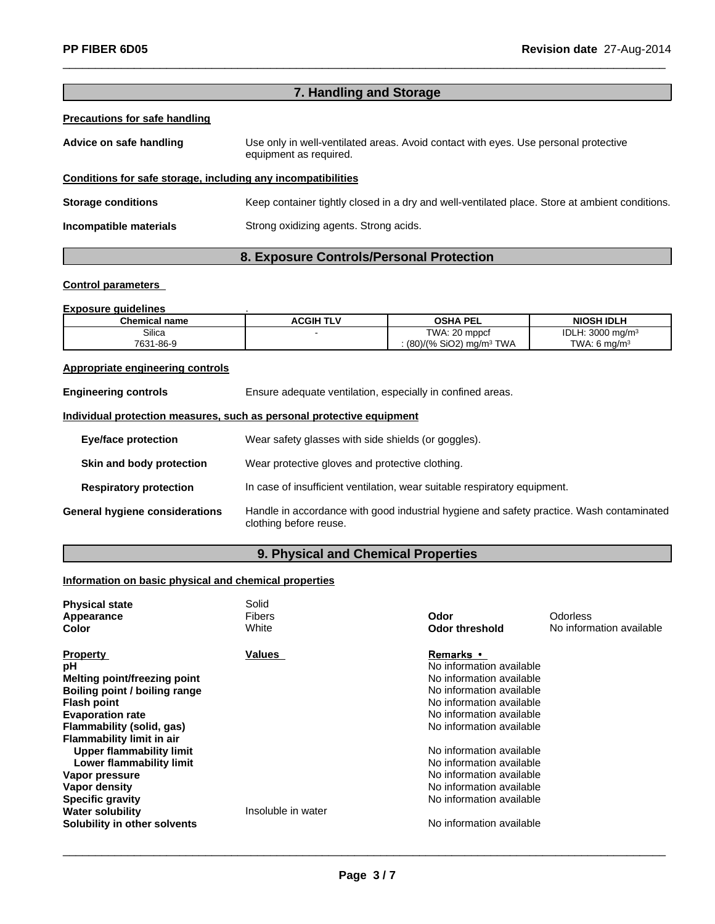| 7. Handling and Storage                                      |                                                                                                               |  |
|--------------------------------------------------------------|---------------------------------------------------------------------------------------------------------------|--|
| <b>Precautions for safe handling</b>                         |                                                                                                               |  |
| Advice on safe handling                                      | Use only in well-ventilated areas. Avoid contact with eyes. Use personal protective<br>equipment as required. |  |
| Conditions for safe storage, including any incompatibilities |                                                                                                               |  |
| <b>Storage conditions</b>                                    | Keep container tightly closed in a dry and well-ventilated place. Store at ambient conditions.                |  |
| Incompatible materials                                       | Strong oxidizing agents. Strong acids.                                                                        |  |
|                                                              |                                                                                                               |  |

 $\_$  , and the set of the set of the set of the set of the set of the set of the set of the set of the set of the set of the set of the set of the set of the set of the set of the set of the set of the set of the set of th

# **8. Exposure Controls/Personal Protection**

## **Control parameters**

#### **Exposure guidelines** .

| <b>Chemical name</b> | <b>ACGIH TLV</b> | <b>OSHA PEL</b>                       | <b>NIOSH IDLH</b>           |
|----------------------|------------------|---------------------------------------|-----------------------------|
| Silica               |                  | TWA: 20 mppcf                         | IDLH: $3000 \text{ ma/m}^3$ |
| 7631-86-9            |                  | $(80)/(%$ SiO2) mg/m <sup>3</sup> TWA | TWA: 6 $ma/m3$              |

## **Appropriate engineering controls**

| <b>Engineering controls</b>           | Ensure adequate ventilation, especially in confined areas.                                                         |
|---------------------------------------|--------------------------------------------------------------------------------------------------------------------|
|                                       | Individual protection measures, such as personal protective equipment                                              |
| Eye/face protection                   | Wear safety glasses with side shields (or goggles).                                                                |
| Skin and body protection              | Wear protective gloves and protective clothing.                                                                    |
| <b>Respiratory protection</b>         | In case of insufficient ventilation, wear suitable respiratory equipment.                                          |
| <b>General hygiene considerations</b> | Handle in accordance with good industrial hygiene and safety practice. Wash contaminated<br>clothing before reuse. |

# **9. Physical and Chemical Properties**

# **Information on basic physical and chemical properties**

| <b>Physical state</b><br>Appearance<br><b>Color</b> | Solid<br><b>Fibers</b><br>White | Odor<br>Odor threshold   | Odorless<br>No information available |
|-----------------------------------------------------|---------------------------------|--------------------------|--------------------------------------|
| <b>Property</b>                                     | Values                          | <b>Remarks</b> •         |                                      |
| рH                                                  |                                 | No information available |                                      |
| <b>Melting point/freezing point</b>                 |                                 | No information available |                                      |
| Boiling point / boiling range                       |                                 | No information available |                                      |
| <b>Flash point</b>                                  |                                 | No information available |                                      |
| <b>Evaporation rate</b>                             |                                 | No information available |                                      |
| Flammability (solid, gas)                           |                                 | No information available |                                      |
| <b>Flammability limit in air</b>                    |                                 |                          |                                      |
| Upper flammability limit                            |                                 | No information available |                                      |
| Lower flammability limit                            |                                 | No information available |                                      |
| Vapor pressure                                      |                                 | No information available |                                      |
| Vapor density                                       |                                 | No information available |                                      |
| <b>Specific gravity</b>                             |                                 | No information available |                                      |
| <b>Water solubility</b>                             | Insoluble in water              |                          |                                      |
| Solubility in other solvents                        |                                 | No information available |                                      |

 $\_$  ,  $\_$  ,  $\_$  ,  $\_$  ,  $\_$  ,  $\_$  ,  $\_$  ,  $\_$  ,  $\_$  ,  $\_$  ,  $\_$  ,  $\_$  ,  $\_$  ,  $\_$  ,  $\_$  ,  $\_$  ,  $\_$  ,  $\_$  ,  $\_$  ,  $\_$  ,  $\_$  ,  $\_$  ,  $\_$  ,  $\_$  ,  $\_$  ,  $\_$  ,  $\_$  ,  $\_$  ,  $\_$  ,  $\_$  ,  $\_$  ,  $\_$  ,  $\_$  ,  $\_$  ,  $\_$  ,  $\_$  ,  $\_$  ,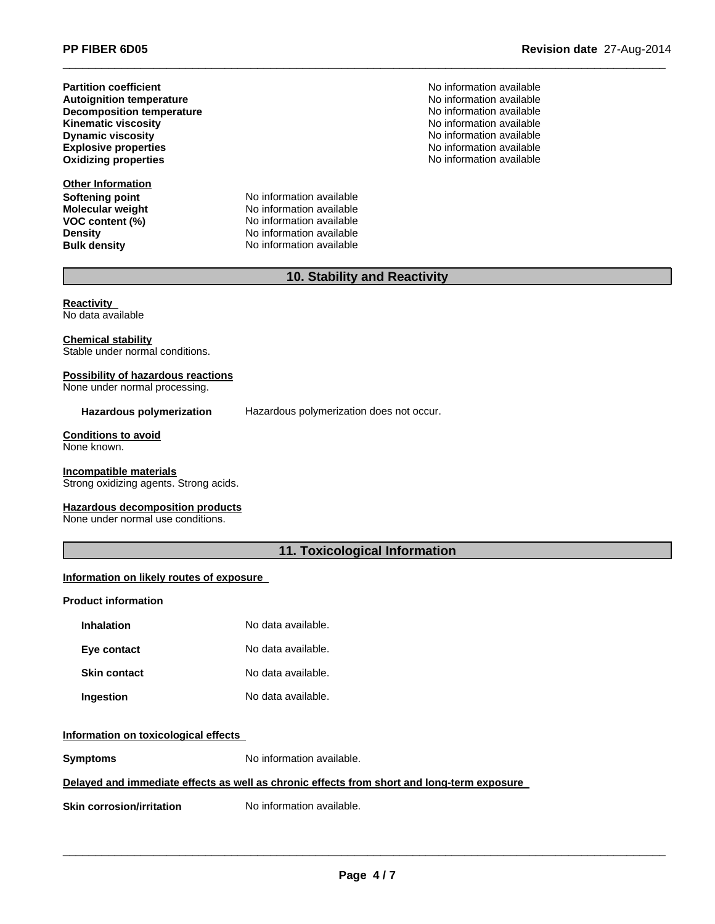**Partition coefficient**<br> **Autoignition temperature**<br> **Autoignition temperature**<br> **Autoignition available Autoignition temperature**<br> **Decomposition temperature** Noinformation available<br>
No information available **Decomposition temperature Kinematic viscosity**<br> **Community** Dynamic viscosity<br> **Community** Dynamic viscosity **Explosive properties**

**Other Information Softening point** No information available

**Molecular weight** No information available **VOC** content (%) No information available **Density No** information available **Bulk density** No information available

**PP FIBER 6D05 Revision date** 27-Aug-2014

**No information available** No information available **Oxidizing properties** No information available

# **10. Stability and Reactivity**

 $\_$  , and the set of the set of the set of the set of the set of the set of the set of the set of the set of the set of the set of the set of the set of the set of the set of the set of the set of the set of the set of th

**Reactivity** No data available

**Chemical stability** Stable under normal conditions.

#### **Possibility of hazardous reactions**

None under normal processing.

**Hazardous polymerization** Hazardous polymerization does not occur.

**Conditions to avoid** None known.

**Incompatible materials**

Strong oxidizing agents. Strong acids.

**Hazardous decomposition products**

None under normal use conditions.

# **11. Toxicological Information**

## **Information on likely routes of exposure**

#### **Product information**

| <b>Inhalation</b>   | No data available. |
|---------------------|--------------------|
| Eye contact         | No data available. |
| <b>Skin contact</b> | No data available. |
| Ingestion           | No data available. |

#### **Information on toxicological effects**

**Symptoms** No information available.

## **Delayed and immediate effects as well as chronic effects from short and long-term exposure**

**Skin corrosion/irritation** No information available.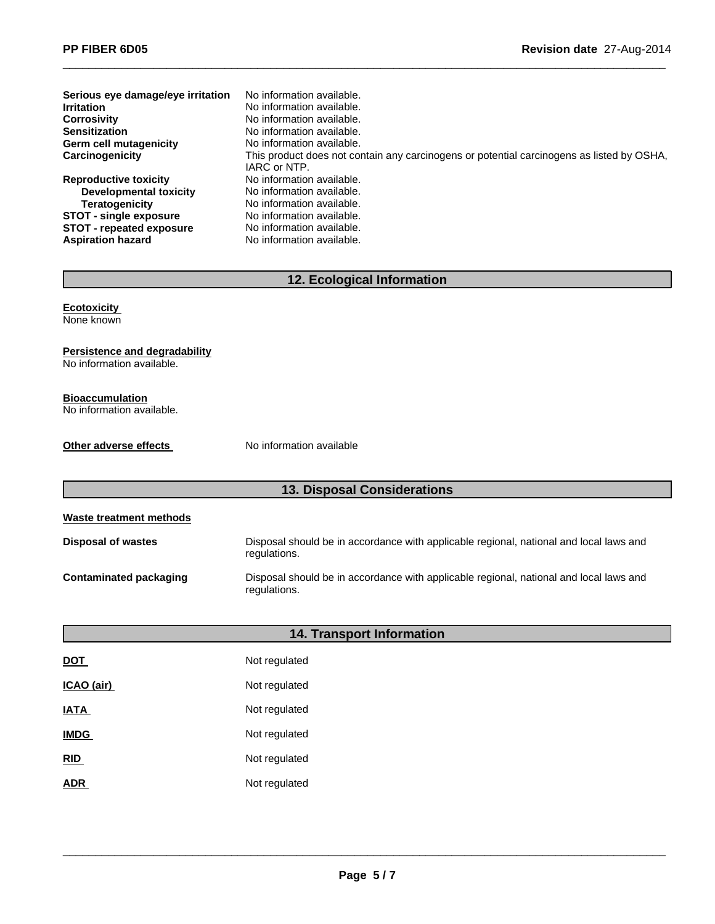| Serious eye damage/eye irritation | No information available.                                                                                 |
|-----------------------------------|-----------------------------------------------------------------------------------------------------------|
| <b>Irritation</b>                 | No information available.                                                                                 |
| <b>Corrosivity</b>                | No information available.                                                                                 |
| <b>Sensitization</b>              | No information available.                                                                                 |
| Germ cell mutagenicity            | No information available.                                                                                 |
| Carcinogenicity                   | This product does not contain any carcinogens or potential carcinogens as listed by OSHA,<br>IARC or NTP. |
| <b>Reproductive toxicity</b>      | No information available.                                                                                 |
| Developmental toxicity            | No information available.                                                                                 |
| Teratogenicity                    | No information available.                                                                                 |
| <b>STOT - single exposure</b>     | No information available.                                                                                 |
| <b>STOT - repeated exposure</b>   | No information available.                                                                                 |
| <b>Aspiration hazard</b>          | No information available.                                                                                 |

 $\_$  , and the set of the set of the set of the set of the set of the set of the set of the set of the set of the set of the set of the set of the set of the set of the set of the set of the set of the set of the set of th

# **12. Ecological Information**

**Ecotoxicity** None known

**Persistence and degradability** No information available.

**Bioaccumulation** No information available.

**Other adverse effects** No information available

# **13. Disposal Considerations**

**Waste treatment methods**

| Disposal of wastes     | Disposal should be in accordance with applicable regional, national and local laws and<br>regulations. |
|------------------------|--------------------------------------------------------------------------------------------------------|
| Contaminated packaging | Disposal should be in accordance with applicable regional, national and local laws and<br>regulations. |

| <b>14. Transport Information</b> |               |  |  |  |  |
|----------------------------------|---------------|--|--|--|--|
| <b>DOT</b>                       | Not regulated |  |  |  |  |
| ICAO (air)                       | Not regulated |  |  |  |  |
| <b>IATA</b>                      | Not regulated |  |  |  |  |
| <b>IMDG</b>                      | Not regulated |  |  |  |  |
| RID                              | Not regulated |  |  |  |  |
| <b>ADR</b>                       | Not regulated |  |  |  |  |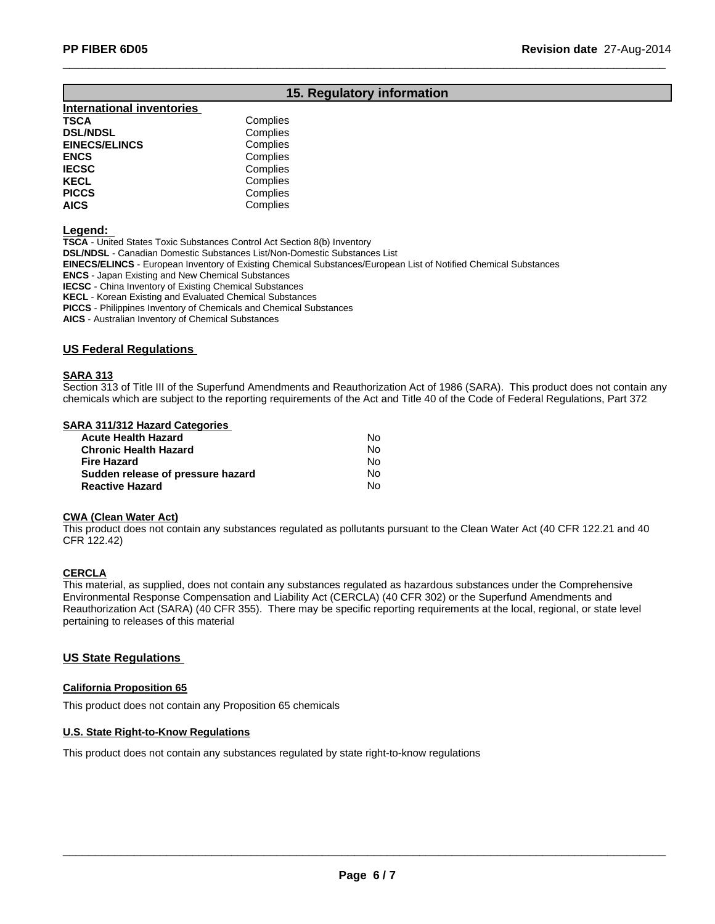## **15. Regulatory information**

 $\_$  , and the set of the set of the set of the set of the set of the set of the set of the set of the set of the set of the set of the set of the set of the set of the set of the set of the set of the set of the set of th

| <b>International inventories</b> |          |
|----------------------------------|----------|
| TSCA                             | Complies |
| <b>DSL/NDSL</b>                  | Complies |
| <b>EINECS/ELINCS</b>             | Complies |
| ENCS                             | Complies |
| <b>IECSC</b>                     | Complies |
| KECL                             | Complies |
| <b>PICCS</b>                     | Complies |
| <b>AICS</b>                      | Complies |
|                                  |          |

**Legend:**

**TSCA** - United States Toxic Substances Control Act Section 8(b) Inventory **DSL/NDSL** - Canadian Domestic Substances List/Non-Domestic Substances List

**EINECS/ELINCS** - European Inventory of Existing Chemical Substances/European List of Notified Chemical Substances

**ENCS** - Japan Existing and New Chemical Substances

**IECSC** - China Inventory of Existing Chemical Substances

**KECL** - Korean Existing and Evaluated Chemical Substances

**PICCS** - Philippines Inventory of Chemicals and Chemical Substances

**AICS** - Australian Inventory of Chemical Substances

## **US Federal Regulations**

#### **SARA 313**

Section 313 of Title III of the Superfund Amendments and Reauthorization Act of 1986 (SARA). This product does not contain any chemicals which are subject to the reporting requirements of the Act and Title 40 of the Code of Federal Regulations, Part 372

#### **SARA 311/312 Hazard Categories**

| <b>Acute Health Hazard</b>        | N٥ |
|-----------------------------------|----|
| <b>Chronic Health Hazard</b>      | N٥ |
| <b>Fire Hazard</b>                | No |
| Sudden release of pressure hazard | N٥ |
| <b>Reactive Hazard</b>            | N٥ |

#### **CWA (Clean Water Act)**

This product does not contain any substances regulated as pollutants pursuant to the Clean Water Act (40 CFR 122.21 and 40 CFR 122.42)

## **CERCLA**

This material, as supplied, does not contain any substances regulated as hazardous substances under the Comprehensive Environmental Response Compensation and Liability Act (CERCLA) (40 CFR 302) or the Superfund Amendments and Reauthorization Act (SARA) (40 CFR 355). There may be specific reporting requirements at the local, regional, or state level pertaining to releases of this material

#### **US State Regulations**

#### **California Proposition 65**

This product does not contain any Proposition 65 chemicals

#### **U.S. State Right-to-Know Regulations**

This product does not contain any substances regulated by state right-to-know regulations

 $\_$  ,  $\_$  ,  $\_$  ,  $\_$  ,  $\_$  ,  $\_$  ,  $\_$  ,  $\_$  ,  $\_$  ,  $\_$  ,  $\_$  ,  $\_$  ,  $\_$  ,  $\_$  ,  $\_$  ,  $\_$  ,  $\_$  ,  $\_$  ,  $\_$  ,  $\_$  ,  $\_$  ,  $\_$  ,  $\_$  ,  $\_$  ,  $\_$  ,  $\_$  ,  $\_$  ,  $\_$  ,  $\_$  ,  $\_$  ,  $\_$  ,  $\_$  ,  $\_$  ,  $\_$  ,  $\_$  ,  $\_$  ,  $\_$  ,